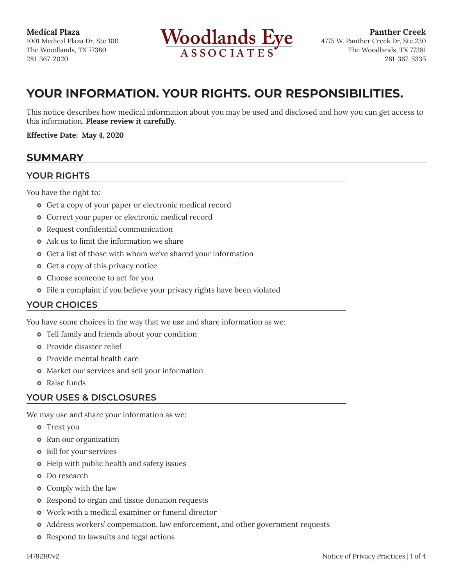

# **YOUR INFORMATION. YOUR RIGHTS. OUR RESPONSIBILITIES.**

This notice describes how medical information about you may be used and disclosed and how you can get access to this information. **Please review it carefully.**

### **Effective Date: May 4, 2020**

# **SUMMARY**

# **YOUR RIGHTS**

You have the right to:

- Get a copy of your paper or electronic medical record
- Correct your paper or electronic medical record
- Request confidential communication
- Ask us to limit the information we share
- **•** Get a list of those with whom we've shared your information
- Get a copy of this privacy notice
- Choose someone to act for you
- File a complaint if you believe your privacy rights have been violated

# **YOUR CHOICES**

You have some choices in the way that we use and share information as we:

- **•** Tell family and friends about your condition
- Provide disaster relief
- Provide mental health care
- Market our services and sell your information
- **•** Raise funds

# **YOUR USES & DISCLOSURES**

We may use and share your information as we:

- **•** Treat you
- **•** Run our organization
- Bill for your services
- Help with public health and safety issues
- **•** Do research
- Comply with the law
- Respond to organ and tissue donation requests
- Work with a medical examiner or funeral director
- Address workers' compensation, law enforcement, and other government requests
- Respond to lawsuits and legal actions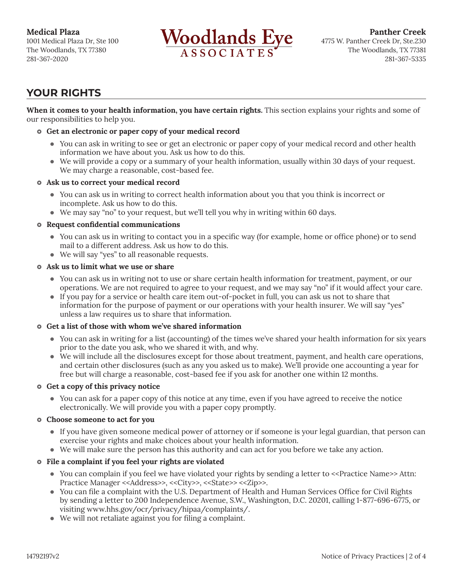# **Medical Plaza**

1001 Medical Plaza Dr, Ste 100 The Woodlands, TX 77380 281-367-2020



# **YOUR RIGHTS**

**When it comes to your health information, you have certain rights.** This section explains your rights and some of our responsibilities to help you.

## } **Get an electronic or paper copy of your medical record**

- You can ask in writing to see or get an electronic or paper copy of your medical record and other health information we have about you. Ask us how to do this.
- We will provide a copy or a summary of your health information, usually within 30 days of your request. We may charge a reasonable, cost-based fee.

## } **Ask us to correct your medical record**

- You can ask us in writing to correct health information about you that you think is incorrect or incomplete. Ask us how to do this.
- $\bullet$  We may say "no" to your request, but we'll tell you why in writing within 60 days.

## } **Request confidential communications**

- You can ask us in writing to contact you in a specific way (for example, home or office phone) or to send mail to a different address. Ask us how to do this.
- We will say "yes" to all reasonable requests.

## } **Ask us to limit what we use or share**

- You can ask us in writing not to use or share certain health information for treatment, payment, or our operations. We are not required to agree to your request, and we may say "no" if it would affect your care.
- If you pay for a service or health care item out-of-pocket in full, you can ask us not to share that information for the purpose of payment or our operations with your health insurer. We will say "yes" unless a law requires us to share that information.

### } **Get a list of those with whom we've shared information**

- You can ask in writing for a list (accounting) of the times we've shared your health information for six years prior to the date you ask, who we shared it with, and why.
- $\bullet$  We will include all the disclosures except for those about treatment, payment, and health care operations, and certain other disclosures (such as any you asked us to make). We'll provide one accounting a year for free but will charge a reasonable, cost-based fee if you ask for another one within 12 months.

### } **Get a copy of this privacy notice**

• You can ask for a paper copy of this notice at any time, even if you have agreed to receive the notice electronically. We will provide you with a paper copy promptly.

### } **Choose someone to act for you**

- If you have given someone medical power of attorney or if someone is your legal guardian, that person can exercise your rights and make choices about your health information.
- $\bullet$  We will make sure the person has this authority and can act for you before we take any action.

# } **File a complaint if you feel your rights are violated**

- You can complain if you feel we have violated your rights by sending a letter to  $\leq$ Practice Name>> Attn: Practice Manager <<Address>>, <<City>>, <<State>> <<Zip>>.
- You can file a complaint with the U.S. Department of Health and Human Services Office for Civil Rights by sending a letter to 200 Independence Avenue, S.W., Washington, D.C. 20201, calling 1-877-696-6775, or visiting www.hhs.gov/ocr/privacy/hipaa/complaints/.
- We will not retaliate against you for filing a complaint.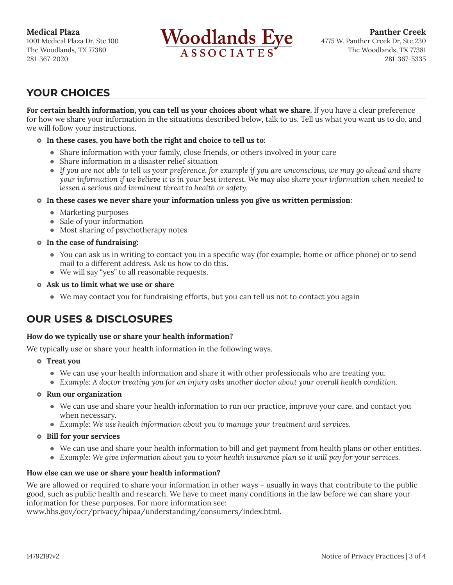# **Medical Plaza**

1001 Medical Plaza Dr, Ste 100 The Woodlands, TX 77380 281-367-2020



# **YOUR CHOICES**

**For certain health information, you can tell us your choices about what we share.** If you have a clear preference for how we share your information in the situations described below, talk to us. Tell us what you want us to do, and we will follow your instructions.

- } **In these cases, you have both the right and choice to tell us to:** 
	- Share information with your family, close friends, or others involved in your care
	- Share information in a disaster relief situation
	- If you are not able to tell us your preference, for example if you are unconscious, we may go ahead and share *your information if we believe it is in your best interest. We may also share your information when needed to lessen a serious and imminent threat to health or safety.*
- } **In these cases we never share your information unless you give us written permission:**
	- Marketing purposes
	- Sale of your information
	- Most sharing of psychotherapy notes

### } **In the case of fundraising:**

- You can ask us in writing to contact you in a specific way (for example, home or office phone) or to send mail to a different address. Ask us how to do this.
- We will say "yes" to all reasonable requests.
- } **Ask us to limit what we use or share**
	- We may contact you for fundraising efforts, but you can tell us not to contact you again

# **OUR USES & DISCLOSURES**

#### **How do we typically use or share your health information?**

We typically use or share your health information in the following ways.

- } **Treat you**
	- $\bullet$  We can use your health information and share it with other professionals who are treating you.
	- **Example:** A doctor treating you for an injury asks another doctor about your overall health condition.

#### } **Run our organization**

- We can use and share your health information to run our practice, improve your care, and contact you when necessary.
- **Example:** We use health information about you to manage your treatment and services.

#### } **Bill for your services**

- We can use and share your health information to bill and get payment from health plans or other entities.
- **Example:** We give information about you to your health insurance plan so it will pay for your services.

### **How else can we use or share your health information?**

We are allowed or required to share your information in other ways – usually in ways that contribute to the public good, such as public health and research. We have to meet many conditions in the law before we can share your information for these purposes. For more information see:

www.hhs.gov/ocr/privacy/hipaa/understanding/consumers/index.html.